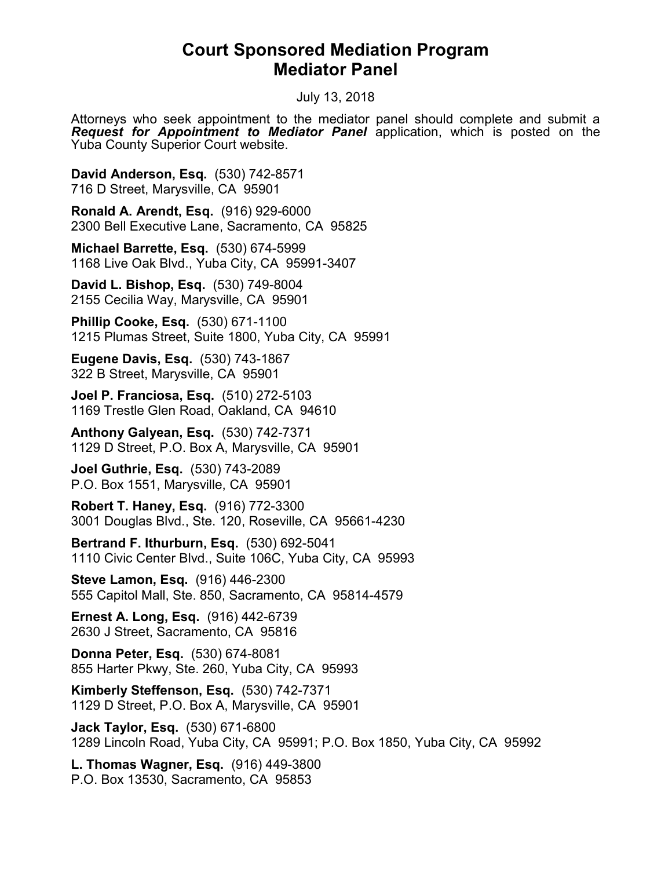## Court Sponsored Mediation Program Mediator Panel

July 13, 2018

Attorneys who seek appointment to the mediator panel should complete and submit a **Request for Appointment to Mediator Panel** application, which is posted on the Yuba County Superior Court website.

David Anderson, Esq. (530) 742-8571 716 D Street, Marysville, CA 95901

Ronald A. Arendt, Esq. (916) 929-6000 2300 Bell Executive Lane, Sacramento, CA 95825

Michael Barrette, Esq. (530) 674-5999 1168 Live Oak Blvd., Yuba City, CA 95991-3407

David L. Bishop, Esq. (530) 749-8004 2155 Cecilia Way, Marysville, CA 95901

Phillip Cooke, Esq. (530) 671-1100 1215 Plumas Street, Suite 1800, Yuba City, CA 95991

Eugene Davis, Esq. (530) 743-1867 322 B Street, Marysville, CA 95901

Joel P. Franciosa, Esq. (510) 272-5103 1169 Trestle Glen Road, Oakland, CA 94610

Anthony Galyean, Esq. (530) 742-7371 1129 D Street, P.O. Box A, Marysville, CA 95901

Joel Guthrie, Esq. (530) 743-2089 P.O. Box 1551, Marysville, CA 95901

Robert T. Haney, Esq. (916) 772-3300 3001 Douglas Blvd., Ste. 120, Roseville, CA 95661-4230

Bertrand F. Ithurburn, Esq. (530) 692-5041 1110 Civic Center Blvd., Suite 106C, Yuba City, CA 95993

Steve Lamon, Esq. (916) 446-2300 555 Capitol Mall, Ste. 850, Sacramento, CA 95814-4579

Ernest A. Long, Esq. (916) 442-6739 2630 J Street, Sacramento, CA 95816

Donna Peter, Esq. (530) 674-8081 855 Harter Pkwy, Ste. 260, Yuba City, CA 95993

Kimberly Steffenson, Esq. (530) 742-7371 1129 D Street, P.O. Box A, Marysville, CA 95901

Jack Taylor, Esq. (530) 671-6800 1289 Lincoln Road, Yuba City, CA 95991; P.O. Box 1850, Yuba City, CA 95992

L. Thomas Wagner, Esq. (916) 449-3800 P.O. Box 13530, Sacramento, CA 95853